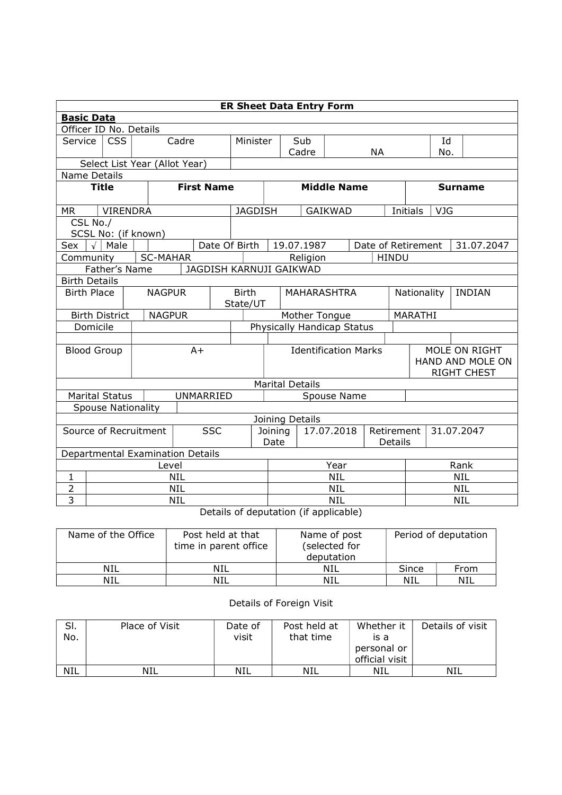| <b>ER Sheet Data Entry Form</b>          |                           |                               |                 |                             |                 |               |                                         |                                     |                                                         |                |                              |                    |              |     |            |            |
|------------------------------------------|---------------------------|-------------------------------|-----------------|-----------------------------|-----------------|---------------|-----------------------------------------|-------------------------------------|---------------------------------------------------------|----------------|------------------------------|--------------------|--------------|-----|------------|------------|
|                                          | <b>Basic Data</b>         |                               |                 |                             |                 |               |                                         |                                     |                                                         |                |                              |                    |              |     |            |            |
| Officer ID No. Details                   |                           |                               |                 |                             |                 |               |                                         |                                     |                                                         |                |                              |                    |              |     |            |            |
| Service                                  | <b>CSS</b><br>Cadre       |                               |                 |                             | Minister        | Sub           |                                         |                                     |                                                         |                |                              | Id                 |              |     |            |            |
|                                          |                           |                               |                 |                             |                 |               |                                         |                                     | Cadre                                                   |                |                              | <b>NA</b>          |              | No. |            |            |
|                                          |                           | Select List Year (Allot Year) |                 |                             |                 |               |                                         |                                     |                                                         |                |                              |                    |              |     |            |            |
|                                          | Name Details              |                               |                 |                             |                 |               |                                         |                                     |                                                         |                |                              |                    |              |     |            |            |
| <b>Title</b>                             |                           |                               |                 | <b>First Name</b>           |                 |               | <b>Middle Name</b>                      |                                     |                                                         |                | <b>Surname</b>               |                    |              |     |            |            |
| MR.                                      |                           | <b>VIRENDRA</b>               |                 |                             |                 |               | <b>JAGDISH</b>                          |                                     |                                                         | <b>GAIKWAD</b> |                              |                    | Initials     |     | <b>VJG</b> |            |
| CSL No./                                 |                           |                               |                 |                             |                 |               |                                         |                                     |                                                         |                |                              |                    |              |     |            |            |
| SCSL No: (if known)                      |                           |                               |                 |                             |                 |               |                                         |                                     |                                                         |                |                              |                    |              |     |            |            |
| Sex                                      | $\sqrt{\phantom{a}}$ Male |                               |                 |                             |                 | Date Of Birth |                                         |                                     | 19.07.1987                                              |                |                              | Date of Retirement |              |     |            | 31.07.2047 |
| Community                                |                           |                               | <b>SC-MAHAR</b> |                             |                 |               |                                         |                                     | Religion                                                |                |                              |                    | <b>HINDU</b> |     |            |            |
| Father's Name<br>JAGDISH KARNUJI GAIKWAD |                           |                               |                 |                             |                 |               |                                         |                                     |                                                         |                |                              |                    |              |     |            |            |
|                                          | <b>Birth Details</b>      |                               |                 |                             |                 |               |                                         |                                     |                                                         |                |                              |                    |              |     |            |            |
| <b>Birth Place</b>                       |                           |                               | <b>NAGPUR</b>   |                             |                 |               | <b>Birth</b><br>MAHARASHTRA<br>State/UT |                                     |                                                         |                | Nationality<br><b>INDIAN</b> |                    |              |     |            |            |
| <b>Birth District</b><br><b>NAGPUR</b>   |                           |                               |                 |                             | Mother Tongue   |               |                                         |                                     |                                                         | MARATHI        |                              |                    |              |     |            |            |
| Domicile                                 |                           |                               |                 |                             |                 |               | Physically Handicap Status              |                                     |                                                         |                |                              |                    |              |     |            |            |
|                                          |                           |                               |                 |                             |                 |               |                                         |                                     |                                                         |                |                              |                    |              |     |            |            |
| <b>Blood Group</b><br>$A+$               |                           |                               |                 | <b>Identification Marks</b> |                 |               |                                         |                                     | MOLE ON RIGHT<br>HAND AND MOLE ON<br><b>RIGHT CHEST</b> |                |                              |                    |              |     |            |            |
|                                          |                           |                               |                 |                             |                 |               |                                         |                                     | <b>Marital Details</b>                                  |                |                              |                    |              |     |            |            |
| <b>Marital Status</b>                    |                           |                               |                 | UNMARRIED                   |                 |               |                                         |                                     |                                                         | Spouse Name    |                              |                    |              |     |            |            |
| <b>Spouse Nationality</b>                |                           |                               |                 |                             |                 |               |                                         |                                     |                                                         |                |                              |                    |              |     |            |            |
|                                          |                           |                               |                 |                             |                 |               |                                         |                                     | Joining Details                                         |                |                              |                    |              |     |            |            |
| <b>SSC</b><br>Source of Recruitment      |                           |                               |                 |                             | Joining<br>Date |               |                                         | 17.07.2018<br>Retirement<br>Details |                                                         |                |                              | 31.07.2047         |              |     |            |            |
| Departmental Examination Details         |                           |                               |                 |                             |                 |               |                                         |                                     |                                                         |                |                              |                    |              |     |            |            |
|                                          | Level                     |                               |                 |                             |                 |               | Year                                    |                                     |                                                         |                |                              | Rank               |              |     |            |            |
| $\mathbf{1}$                             | <b>NIL</b>                |                               |                 |                             |                 | <b>NIL</b>    |                                         |                                     |                                                         |                | <b>NIL</b>                   |                    |              |     |            |            |
| $\overline{2}$                           | <b>NIL</b>                |                               |                 |                             |                 |               | <b>NIL</b>                              |                                     |                                                         |                |                              | <b>NIL</b>         |              |     |            |            |
| 3                                        | <b>NIL</b>                |                               |                 |                             |                 |               | <b>NIL</b>                              |                                     |                                                         |                | <b>NIL</b>                   |                    |              |     |            |            |

Details of deputation (if applicable)

| Name of the Office | Post held at that<br>time in parent office | Name of post<br>(selected for<br>deputation | Period of deputation |      |  |
|--------------------|--------------------------------------------|---------------------------------------------|----------------------|------|--|
| <b>NIL</b>         | NIL                                        | NIL                                         | Since                | From |  |
| NIL                | NIL                                        | NIL                                         | NIL                  | NIL  |  |

## Details of Foreign Visit

| SI.<br>No. | Place of Visit | Date of<br>visit | Post held at<br>that time | Whether it<br>is a<br>personal or<br>official visit | Details of visit |
|------------|----------------|------------------|---------------------------|-----------------------------------------------------|------------------|
| NIL        | NIL            | NIL              | NIL                       | NIL                                                 | NIL              |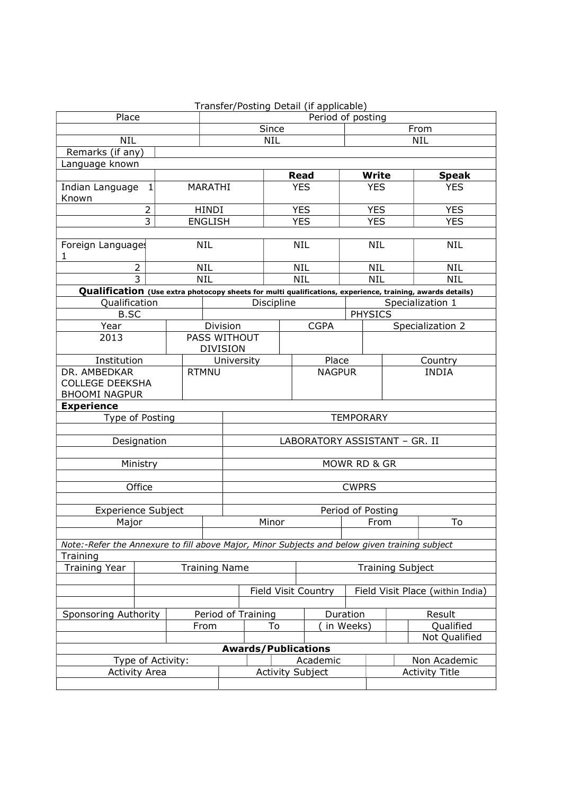|                                                                                               |                      |                   |                                 |                    |                                     |                  | Transfer/Posting Detail (if applicable) |                         |                            |         |                                                                                                           |  |
|-----------------------------------------------------------------------------------------------|----------------------|-------------------|---------------------------------|--------------------|-------------------------------------|------------------|-----------------------------------------|-------------------------|----------------------------|---------|-----------------------------------------------------------------------------------------------------------|--|
| Place                                                                                         |                      | Period of posting |                                 |                    |                                     |                  |                                         |                         |                            |         |                                                                                                           |  |
|                                                                                               |                      |                   |                                 | Since              |                                     |                  |                                         | From                    |                            |         |                                                                                                           |  |
| <b>NIL</b>                                                                                    |                      |                   | NIL                             |                    |                                     |                  |                                         |                         | <b>NIL</b>                 |         |                                                                                                           |  |
| Remarks (if any)                                                                              |                      |                   |                                 |                    |                                     |                  |                                         |                         |                            |         |                                                                                                           |  |
| Language known                                                                                |                      |                   |                                 |                    |                                     |                  |                                         |                         |                            |         |                                                                                                           |  |
|                                                                                               |                      |                   | <b>MARATHI</b>                  |                    |                                     |                  | <b>Read</b><br><b>YES</b>               |                         | <b>Write</b><br><b>YES</b> |         | <b>Speak</b><br><b>YES</b>                                                                                |  |
| Indian Language<br>Known                                                                      | 1                    |                   |                                 |                    |                                     |                  |                                         |                         |                            |         |                                                                                                           |  |
| 2                                                                                             |                      |                   | <b>HINDI</b>                    |                    |                                     | <b>YES</b>       |                                         | <b>YES</b>              |                            |         | <b>YES</b>                                                                                                |  |
|                                                                                               | 3                    |                   | <b>ENGLISH</b>                  |                    |                                     |                  | <b>YES</b>                              |                         | <b>YES</b>                 |         | <b>YES</b>                                                                                                |  |
| Foreign Languages<br>1                                                                        |                      |                   | <b>NIL</b>                      |                    |                                     | <b>NIL</b>       |                                         | <b>NIL</b>              |                            |         | <b>NIL</b>                                                                                                |  |
|                                                                                               | $\overline{2}$       |                   | <b>NIL</b>                      |                    |                                     |                  | <b>NIL</b>                              |                         | <b>NIL</b>                 |         | <b>NIL</b>                                                                                                |  |
|                                                                                               | $\overline{3}$       |                   | <b>NIL</b>                      |                    |                                     |                  | <b>NIL</b>                              |                         | <b>NIL</b>                 |         | <b>NIL</b>                                                                                                |  |
|                                                                                               |                      |                   |                                 |                    |                                     |                  |                                         |                         |                            |         | Qualification (Use extra photocopy sheets for multi qualifications, experience, training, awards details) |  |
| Qualification                                                                                 |                      |                   |                                 |                    | Discipline                          |                  |                                         |                         |                            |         | Specialization 1                                                                                          |  |
| <b>B.SC</b>                                                                                   |                      |                   |                                 |                    |                                     |                  |                                         |                         | <b>PHYSICS</b>             |         |                                                                                                           |  |
| Year                                                                                          |                      |                   | Division                        |                    |                                     |                  | <b>CGPA</b>                             |                         |                            |         | Specialization 2                                                                                          |  |
| 2013                                                                                          |                      |                   | PASS WITHOUT<br><b>DIVISION</b> |                    |                                     |                  |                                         |                         |                            |         |                                                                                                           |  |
|                                                                                               | Institution          |                   |                                 | University         |                                     |                  | Place                                   |                         |                            | Country |                                                                                                           |  |
| DR. AMBEDKAR                                                                                  |                      |                   | <b>RTMNU</b>                    |                    |                                     |                  | <b>NAGPUR</b>                           |                         |                            |         | <b>INDIA</b>                                                                                              |  |
| <b>COLLEGE DEEKSHA</b>                                                                        |                      |                   |                                 |                    |                                     |                  |                                         |                         |                            |         |                                                                                                           |  |
| <b>BHOOMI NAGPUR</b>                                                                          |                      |                   |                                 |                    |                                     |                  |                                         |                         |                            |         |                                                                                                           |  |
|                                                                                               | <b>Experience</b>    |                   |                                 |                    |                                     |                  |                                         |                         |                            |         |                                                                                                           |  |
| Type of Posting                                                                               |                      |                   |                                 |                    |                                     | <b>TEMPORARY</b> |                                         |                         |                            |         |                                                                                                           |  |
| LABORATORY ASSISTANT - GR. II                                                                 |                      |                   |                                 |                    |                                     |                  |                                         |                         |                            |         |                                                                                                           |  |
|                                                                                               | Designation          |                   |                                 |                    |                                     |                  |                                         |                         |                            |         |                                                                                                           |  |
|                                                                                               |                      |                   |                                 |                    |                                     |                  |                                         |                         |                            |         |                                                                                                           |  |
|                                                                                               | Ministry             |                   |                                 |                    |                                     |                  |                                         | MOWR RD & GR            |                            |         |                                                                                                           |  |
|                                                                                               | Office               |                   |                                 |                    |                                     |                  |                                         | <b>CWPRS</b>            |                            |         |                                                                                                           |  |
|                                                                                               |                      |                   |                                 |                    |                                     |                  |                                         |                         |                            |         |                                                                                                           |  |
| <b>Experience Subject</b>                                                                     |                      |                   |                                 |                    |                                     |                  | Period of Posting                       |                         |                            |         |                                                                                                           |  |
| Major                                                                                         |                      |                   |                                 | Minor              |                                     |                  |                                         | From                    |                            | To      |                                                                                                           |  |
|                                                                                               |                      |                   |                                 |                    |                                     |                  |                                         |                         |                            |         |                                                                                                           |  |
| Note:-Refer the Annexure to fill above Major, Minor Subjects and below given training subject |                      |                   |                                 |                    |                                     |                  |                                         |                         |                            |         |                                                                                                           |  |
| Training                                                                                      |                      |                   |                                 |                    |                                     |                  |                                         |                         |                            |         |                                                                                                           |  |
| <b>Training Year</b>                                                                          | <b>Training Name</b> |                   |                                 |                    |                                     |                  |                                         | <b>Training Subject</b> |                            |         |                                                                                                           |  |
|                                                                                               |                      |                   |                                 |                    |                                     |                  |                                         |                         |                            |         |                                                                                                           |  |
|                                                                                               |                      |                   |                                 |                    | Field Visit Country                 |                  | Field Visit Place (within India)        |                         |                            |         |                                                                                                           |  |
|                                                                                               |                      |                   |                                 |                    |                                     |                  |                                         |                         |                            |         |                                                                                                           |  |
| Sponsoring Authority                                                                          |                      |                   |                                 | Period of Training |                                     |                  | Duration                                |                         |                            |         | Result                                                                                                    |  |
|                                                                                               |                      |                   | From                            |                    | To                                  |                  |                                         | in Weeks)               |                            |         | Qualified                                                                                                 |  |
|                                                                                               |                      |                   |                                 |                    |                                     |                  |                                         |                         |                            |         | Not Qualified                                                                                             |  |
|                                                                                               |                      |                   |                                 |                    | <b>Awards/Publications</b>          |                  |                                         |                         |                            |         |                                                                                                           |  |
| Type of Activity:                                                                             |                      |                   |                                 |                    | Academic<br><b>Activity Subject</b> |                  |                                         |                         | Non Academic               |         |                                                                                                           |  |
|                                                                                               | <b>Activity Area</b> |                   |                                 |                    |                                     |                  |                                         |                         |                            |         | <b>Activity Title</b>                                                                                     |  |
|                                                                                               |                      |                   |                                 |                    |                                     |                  |                                         |                         |                            |         |                                                                                                           |  |